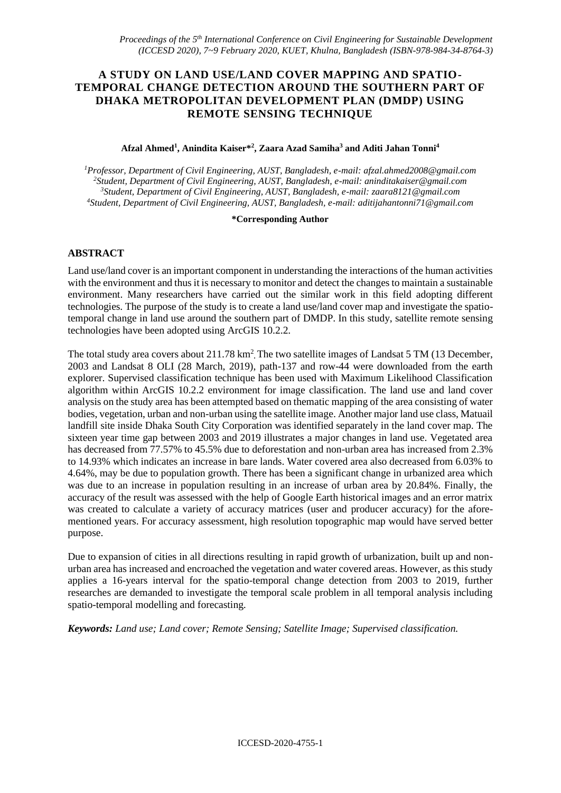# **A STUDY ON LAND USE/LAND COVER MAPPING AND SPATIO-TEMPORAL CHANGE DETECTION AROUND THE SOUTHERN PART OF DHAKA METROPOLITAN DEVELOPMENT PLAN (DMDP) USING REMOTE SENSING TECHNIQUE**

#### **Afzal Ahmed<sup>1</sup> , Anindita Kaiser\*<sup>2</sup> , Zaara Azad Samiha<sup>3</sup> and Aditi Jahan Tonni<sup>4</sup>**

*Professor, Department of Civil Engineering, AUST, Bangladesh, e-mail: [afzal.ahmed2008@gmail.com](mailto:afzal.ahmed2008@gmail.com) Student, Department of Civil Engineering, AUST, Bangladesh, e-mail: [aninditakaiser@gmail.com](mailto:aninditakaiser@gmail.com) Student, Department of Civil Engineering, AUST, Bangladesh, e-mail[: zaara8121@gmail.com](mailto:zaara8121@gmail.com) Student, Department of Civil Engineering, AUST, Bangladesh, e-mail: [aditijahantonni71@gmail.com](mailto:aditijahantonni71@gmail.com)*

#### **\*Corresponding Author**

### **ABSTRACT**

Land use/land cover is an important component in understanding the interactions of the human activities with the environment and thus it is necessary to monitor and detect the changes to maintain a sustainable environment. Many researchers have carried out the similar work in this field adopting different technologies. The purpose of the study is to create a land use/land cover map and investigate the spatiotemporal change in land use around the southern part of DMDP. In this study, satellite remote sensing technologies have been adopted using ArcGIS 10.2.2.

The total study area covers about 211.78 km<sup>2</sup>. The two satellite images of Landsat 5 TM (13 December, 2003 and Landsat 8 OLI (28 March, 2019), path-137 and row-44 were downloaded from the earth explorer. Supervised classification technique has been used with Maximum Likelihood Classification algorithm within ArcGIS 10.2.2 environment for image classification. The land use and land cover analysis on the study area has been attempted based on thematic mapping of the area consisting of water bodies, vegetation, urban and non-urban using the satellite image. Another major land use class, Matuail landfill site inside Dhaka South City Corporation was identified separately in the land cover map. The sixteen year time gap between 2003 and 2019 illustrates a major changes in land use. Vegetated area has decreased from 77.57% to 45.5% due to deforestation and non-urban area has increased from 2.3% to 14.93% which indicates an increase in bare lands. Water covered area also decreased from 6.03% to 4.64%, may be due to population growth. There has been a significant change in urbanized area which was due to an increase in population resulting in an increase of urban area by 20.84%. Finally, the accuracy of the result was assessed with the help of Google Earth historical images and an error matrix was created to calculate a variety of accuracy matrices (user and producer accuracy) for the aforementioned years. For accuracy assessment, high resolution topographic map would have served better purpose.

Due to expansion of cities in all directions resulting in rapid growth of urbanization, built up and nonurban area has increased and encroached the vegetation and water covered areas. However, as this study applies a 16-years interval for the spatio-temporal change detection from 2003 to 2019, further researches are demanded to investigate the temporal scale problem in all temporal analysis including spatio-temporal modelling and forecasting.

*Keywords: Land use; Land cover; Remote Sensing; Satellite Image; Supervised classification.*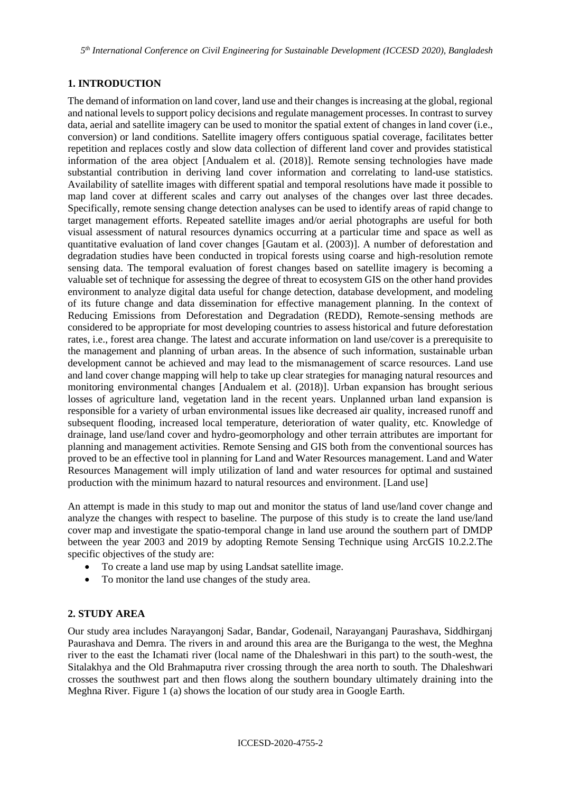*5 th International Conference on Civil Engineering for Sustainable Development (ICCESD 2020), Bangladesh*

# **1. INTRODUCTION**

The demand of information on land cover, land use and their changes is increasing at the global, regional and national levels to support policy decisions and regulate management processes. In contrast to survey data, aerial and satellite imagery can be used to monitor the spatial extent of changes in land cover (i.e., conversion) or land conditions. Satellite imagery offers contiguous spatial coverage, facilitates better repetition and replaces costly and slow data collection of different land cover and provides statistical information of the area object [Andualem et al. (2018)]. Remote sensing technologies have made substantial contribution in deriving land cover information and correlating to land-use statistics. Availability of satellite images with different spatial and temporal resolutions have made it possible to map land cover at different scales and carry out analyses of the changes over last three decades. Specifically, remote sensing change detection analyses can be used to identify areas of rapid change to target management efforts. Repeated satellite images and/or aerial photographs are useful for both visual assessment of natural resources dynamics occurring at a particular time and space as well as quantitative evaluation of land cover changes [Gautam et al. (2003)]. A number of deforestation and degradation studies have been conducted in tropical forests using coarse and high-resolution remote sensing data. The temporal evaluation of forest changes based on satellite imagery is becoming a valuable set of technique for assessing the degree of threat to ecosystem GIS on the other hand provides environment to analyze digital data useful for change detection, database development, and modeling of its future change and data dissemination for effective management planning. In the context of Reducing Emissions from Deforestation and Degradation (REDD), Remote-sensing methods are considered to be appropriate for most developing countries to assess historical and future deforestation rates, i.e., forest area change. The latest and accurate information on land use/cover is a prerequisite to the management and planning of urban areas. In the absence of such information, sustainable urban development cannot be achieved and may lead to the mismanagement of scarce resources. Land use and land cover change mapping will help to take up clear strategies for managing natural resources and monitoring environmental changes [Andualem et al. (2018)]. Urban expansion has brought serious losses of agriculture land, vegetation land in the recent years. Unplanned urban land expansion is responsible for a variety of urban environmental issues like decreased air quality, increased runoff and subsequent flooding, increased local temperature, deterioration of water quality, etc. Knowledge of drainage, land use/land cover and hydro-geomorphology and other terrain attributes are important for planning and management activities. Remote Sensing and GIS both from the conventional sources has proved to be an effective tool in planning for Land and Water Resources management. Land and Water Resources Management will imply utilization of land and water resources for optimal and sustained production with the minimum hazard to natural resources and environment. [Land use]

An attempt is made in this study to map out and monitor the status of land use/land cover change and analyze the changes with respect to baseline. The purpose of this study is to create the land use/land cover map and investigate the spatio-temporal change in land use around the southern part of DMDP between the year 2003 and 2019 by adopting Remote Sensing Technique using ArcGIS 10.2.2.The specific objectives of the study are:

- To create a land use map by using Landsat satellite image.
- To monitor the land use changes of the study area.

## **2. STUDY AREA**

Our study area includes Narayangonj Sadar, Bandar, Godenail, Narayanganj Paurashava, Siddhirganj Paurashava and Demra. The rivers in and around this area are the Buriganga to the west, the Meghna river to the east the Ichamati river (local name of the Dhaleshwari in this part) to the south-west, the Sitalakhya and the Old Brahmaputra river crossing through the area north to south. The Dhaleshwari crosses the southwest part and then flows along the southern boundary ultimately draining into the Meghna River. Figure 1 (a) shows the location of our study area in Google Earth.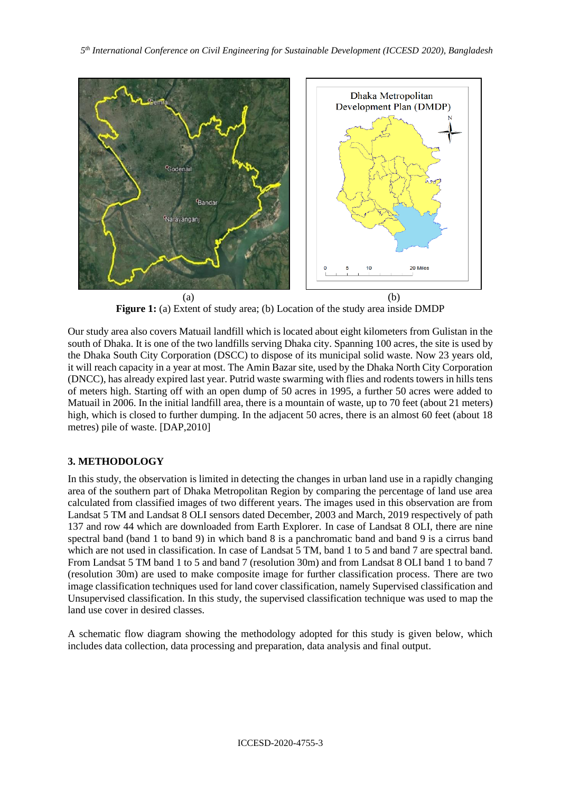

**Figure 1:** (a) Extent of study area; (b) Location of the study area inside DMDP

Our study area also covers Matuail landfill which is located about eight kilometers from Gulistan in the south of Dhaka. It is one of the two landfills serving Dhaka city. Spanning 100 acres, the site is used by the Dhaka South City Corporation (DSCC) to dispose of its municipal solid waste. Now 23 years old, it will reach capacity in a year at most. The Amin Bazar site, used by the Dhaka North City Corporation (DNCC), has already expired last year. Putrid waste swarming with flies and rodents towers in hills tens of meters high. Starting off with an open dump of 50 acres in 1995, a further 50 acres were added to Matuail in 2006. In the initial landfill area, there is a mountain of waste, up to 70 feet (about 21 meters) high, which is closed to further dumping. In the adjacent 50 acres, there is an almost 60 feet (about 18 metres) pile of waste. [DAP,2010]

## **3. METHODOLOGY**

In this study, the observation is limited in detecting the changes in urban land use in a rapidly changing area of the southern part of Dhaka Metropolitan Region by comparing the percentage of land use area calculated from classified images of two different years. The images used in this observation are from Landsat 5 TM and Landsat 8 OLI sensors dated December, 2003 and March, 2019 respectively of path 137 and row 44 which are downloaded from Earth Explorer. In case of Landsat 8 OLI, there are nine spectral band (band 1 to band 9) in which band 8 is a panchromatic band and band 9 is a cirrus band which are not used in classification. In case of Landsat 5 TM, band 1 to 5 and band 7 are spectral band. From Landsat 5 TM band 1 to 5 and band 7 (resolution 30m) and from Landsat 8 OLI band 1 to band 7 (resolution 30m) are used to make composite image for further classification process. There are two image classification techniques used for land cover classification, namely Supervised classification and Unsupervised classification. In this study, the supervised classification technique was used to map the land use cover in desired classes.

A schematic flow diagram showing the methodology adopted for this study is given below, which includes data collection, data processing and preparation, data analysis and final output.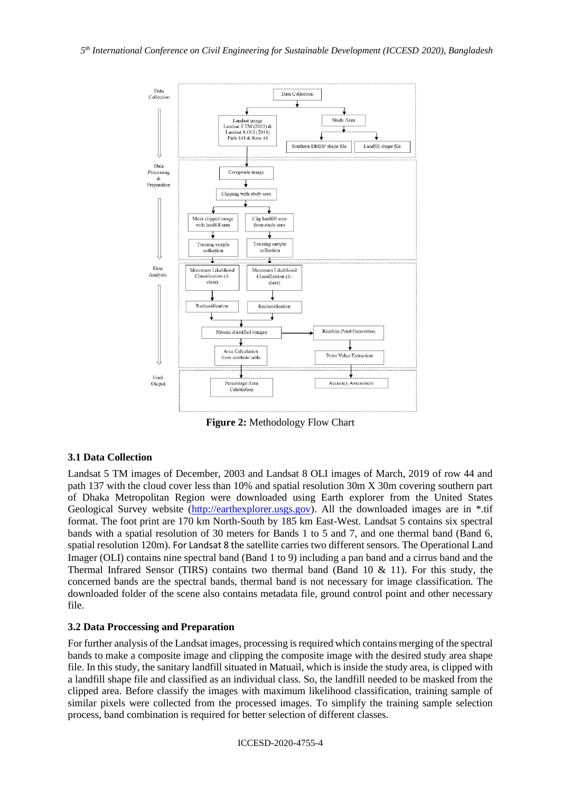

**Figure 2:** Methodology Flow Chart

## **3.1 Data Collection**

Landsat 5 TM images of December, 2003 and Landsat 8 OLI images of March, 2019 of row 44 and path 137 with the cloud cover less than 10% and spatial resolution 30m X 30m covering southern part of Dhaka Metropolitan Region were downloaded using Earth explorer from the United States Geological Survey website [\(http://earthexplorer.usgs.gov\)](http://earthexplorer.usgs.gov/). All the downloaded images are in \*.tif format. The foot print are 170 km North-South by 185 km East-West. Landsat 5 contains six spectral bands with a spatial resolution of 30 meters for Bands 1 to 5 and 7, and one thermal band (Band 6, spatial resolution 120m). For Landsat 8 the satellite carries two different sensors. The Operational Land Imager (OLI) contains nine spectral band (Band 1 to 9) including a pan band and a cirrus band and the Thermal Infrared Sensor (TIRS) contains two thermal band (Band 10 & 11). For this study, the concerned bands are the spectral bands, thermal band is not necessary for image classification. The downloaded folder of the scene also contains metadata file, ground control point and other necessary file.

## **3.2 Data Proccessing and Preparation**

For further analysis of the Landsat images, processing is required which contains merging of the spectral bands to make a composite image and clipping the composite image with the desired study area shape file. In this study, the sanitary landfill situated in Matuail, which is inside the study area, is clipped with a landfill shape file and classified as an individual class. So, the landfill needed to be masked from the clipped area. Before classify the images with maximum likelihood classification, training sample of similar pixels were collected from the processed images. To simplify the training sample selection process, band combination is required for better selection of different classes.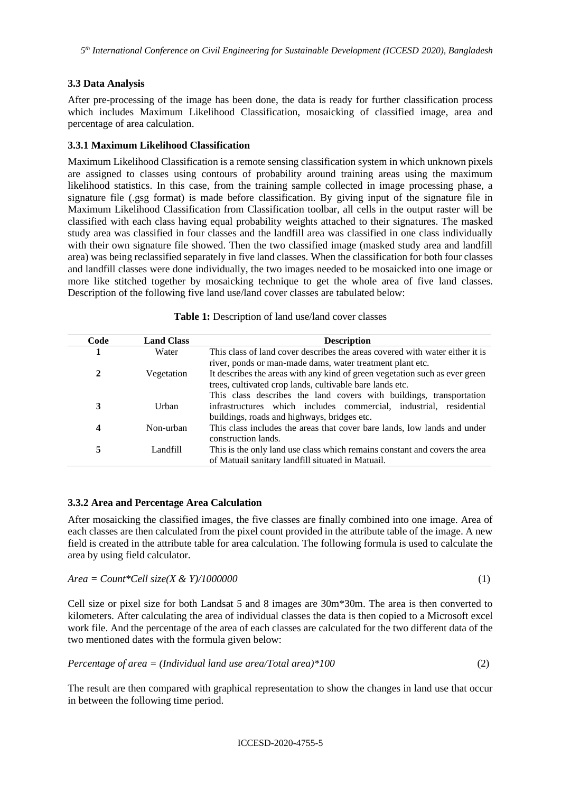### **3.3 Data Analysis**

After pre-processing of the image has been done, the data is ready for further classification process which includes Maximum Likelihood Classification, mosaicking of classified image, area and percentage of area calculation.

#### **3.3.1 Maximum Likelihood Classification**

Maximum Likelihood Classification is a remote sensing classification system in which unknown pixels are assigned to classes using contours of probability around training areas using the maximum likelihood statistics. In this case, from the training sample collected in image processing phase, a signature file (.gsg format) is made before classification. By giving input of the signature file in Maximum Likelihood Classification from Classification toolbar, all cells in the output raster will be classified with each class having equal probability weights attached to their signatures. The masked study area was classified in four classes and the landfill area was classified in one class individually with their own signature file showed. Then the two classified image (masked study area and landfill area) was being reclassified separately in five land classes. When the classification for both four classes and landfill classes were done individually, the two images needed to be mosaicked into one image or more like stitched together by mosaicking technique to get the whole area of five land classes. Description of the following five land use/land cover classes are tabulated below:

| Code | <b>Land Class</b> | <b>Description</b>                                                           |  |  |  |  |
|------|-------------------|------------------------------------------------------------------------------|--|--|--|--|
|      | Water             | This class of land cover describes the areas covered with water either it is |  |  |  |  |
|      |                   | river, ponds or man-made dams, water treatment plant etc.                    |  |  |  |  |
| 2    | Vegetation        | It describes the areas with any kind of green vegetation such as ever green  |  |  |  |  |
|      |                   | trees, cultivated crop lands, cultivable bare lands etc.                     |  |  |  |  |
|      |                   | This class describes the land covers with buildings, transportation          |  |  |  |  |
| 3    | Urban             | infrastructures which includes commercial, industrial, residential           |  |  |  |  |
|      |                   | buildings, roads and highways, bridges etc.                                  |  |  |  |  |
| 4    | Non-urban         | This class includes the areas that cover bare lands, low lands and under     |  |  |  |  |
|      |                   | construction lands.                                                          |  |  |  |  |
| 5    | Landfill          | This is the only land use class which remains constant and covers the area   |  |  |  |  |
|      |                   | of Matuail sanitary landfill situated in Matuail.                            |  |  |  |  |

**Table 1:** Description of land use/land cover classes

### **3.3.2 Area and Percentage Area Calculation**

After mosaicking the classified images, the five classes are finally combined into one image. Area of each classes are then calculated from the pixel count provided in the attribute table of the image. A new field is created in the attribute table for area calculation. The following formula is used to calculate the area by using field calculator.

```
Area = Count*Cell size(X & Y)/1000000 (1)
```
Cell size or pixel size for both Landsat 5 and 8 images are 30m\*30m. The area is then converted to kilometers. After calculating the area of individual classes the data is then copied to a Microsoft excel work file. And the percentage of the area of each classes are calculated for the two different data of the two mentioned dates with the formula given below:

$$
Percentage of area = (Individual land use area/Total area)*100
$$
\n(2)

The result are then compared with graphical representation to show the changes in land use that occur in between the following time period.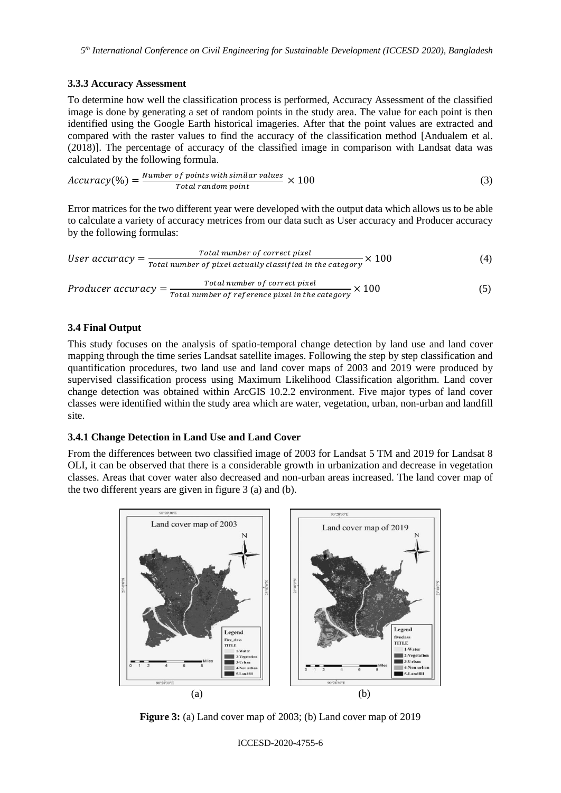## **3.3.3 Accuracy Assessment**

To determine how well the classification process is performed, Accuracy Assessment of the classified image is done by generating a set of random points in the study area. The value for each point is then identified using the Google Earth historical imageries. After that the point values are extracted and compared with the raster values to find the accuracy of the classification method [Andualem et al. (2018)]. The percentage of accuracy of the classified image in comparison with Landsat data was calculated by the following formula.

$$
Accuracy(\%) = \frac{Number\ of\ points\ with\ similar\ values}{Total\ random\ point} \times 100
$$
 (3)

Error matrices for the two different year were developed with the output data which allows us to be able to calculate a variety of accuracy metrices from our data such as User accuracy and Producer accuracy by the following formulas:

*User accuracy* = 
$$
\frac{Total number of correct pixel}{Total number of pixel actually classified in the category} \times 100
$$
 (4)

$$
Producter accuracy = \frac{Total number of correct pixel}{Total number of reference pixel in the category} \times 100
$$
 (5)

### **3.4 Final Output**

This study focuses on the analysis of spatio-temporal change detection by land use and land cover mapping through the time series Landsat satellite images. Following the step by step classification and quantification procedures, two land use and land cover maps of 2003 and 2019 were produced by supervised classification process using Maximum Likelihood Classification algorithm. Land cover change detection was obtained within ArcGIS 10.2.2 environment. Five major types of land cover classes were identified within the study area which are water, vegetation, urban, non-urban and landfill site.

#### **3.4.1 Change Detection in Land Use and Land Cover**

From the differences between two classified image of 2003 for Landsat 5 TM and 2019 for Landsat 8 OLI, it can be observed that there is a considerable growth in urbanization and decrease in vegetation classes. Areas that cover water also decreased and non-urban areas increased. The land cover map of the two different years are given in figure 3 (a) and (b).



**Figure 3:** (a) Land cover map of 2003; (b) Land cover map of 2019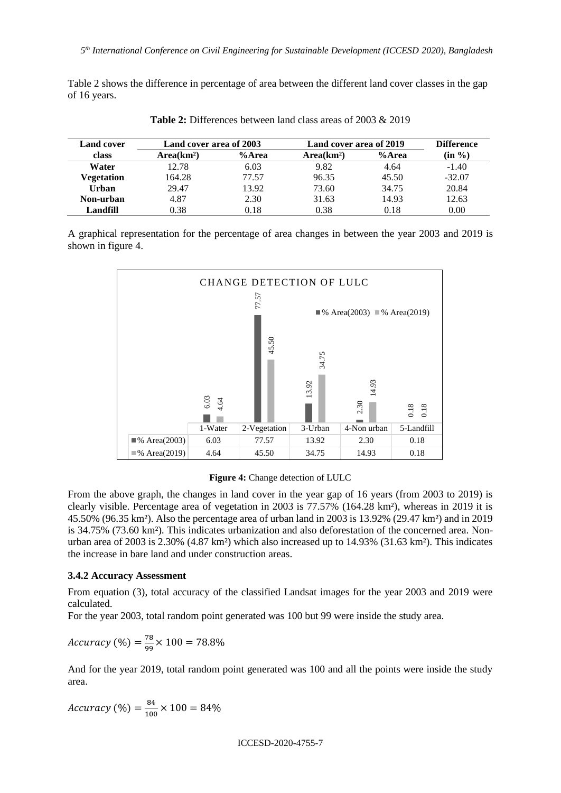Table 2 shows the difference in percentage of area between the different land cover classes in the gap of 16 years.

| Land cover | Land cover area of 2003 |       | Land cover area of 2019 | <b>Difference</b> |                    |
|------------|-------------------------|-------|-------------------------|-------------------|--------------------|
| class      | Area(km <sup>2</sup> )  | %Area | Area(km <sup>2</sup> )  | %Area             | $(in \frac{9}{6})$ |
| Water      | 12.78                   | 6.03  | 9.82                    | 4.64              | $-1.40$            |
| Vegetation | 164.28                  | 77.57 | 96.35                   | 45.50             | $-32.07$           |
| Urban      | 29.47                   | 13.92 | 73.60                   | 34.75             | 20.84              |
| Non-urban  | 4.87                    | 2.30  | 31.63                   | 14.93             | 12.63              |
| Landfill   | 0.38                    | 0.18  | 0.38                    | 0.18              | 0.00               |

**Table 2:** Differences between land class areas of 2003 & 2019

A graphical representation for the percentage of area changes in between the year 2003 and 2019 is shown in figure 4.



#### **Figure 4:** Change detection of LULC

From the above graph, the changes in land cover in the year gap of 16 years (from 2003 to 2019) is clearly visible. Percentage area of vegetation in 2003 is 77.57% (164.28 km²), whereas in 2019 it is 45.50% (96.35 km²). Also the percentage area of urban land in 2003 is 13.92% (29.47 km²) and in 2019 is 34.75% (73.60 km²). This indicates urbanization and also deforestation of the concerned area. Nonurban area of 2003 is 2.30% (4.87 km²) which also increased up to 14.93% (31.63 km²). This indicates the increase in bare land and under construction areas.

#### **3.4.2 Accuracy Assessment**

From equation (3), total accuracy of the classified Landsat images for the year 2003 and 2019 were calculated.

For the year 2003, total random point generated was 100 but 99 were inside the study area.

*Accuracy* (%) =  $\frac{78}{90}$  $\frac{18}{99}$  × 100 = 78.8%

And for the year 2019, total random point generated was 100 and all the points were inside the study area.

$$
Accuracy (%) = \frac{84}{100} \times 100 = 84\%
$$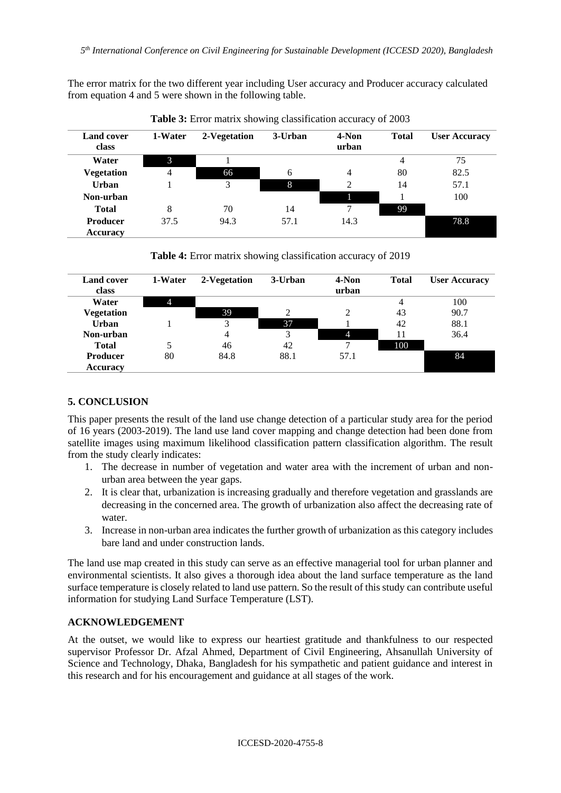The error matrix for the two different year including User accuracy and Producer accuracy calculated from equation 4 and 5 were shown in the following table.

| <b>Land cover</b><br>class | 1-Water | 2-Vegetation | 3-Urban | 4-Non<br>urban | <b>Total</b> | <b>User Accuracy</b> |
|----------------------------|---------|--------------|---------|----------------|--------------|----------------------|
| Water                      | 3       |              |         |                | 4            | 75                   |
| <b>Vegetation</b>          | 4       | 66           | 6       | 4              | 80           | 82.5                 |
| <b>Urban</b>               |         | 3            | 8       | $\mathfrak{D}$ | 14           | 57.1                 |
| Non-urban                  |         |              |         |                |              | 100                  |
| <b>Total</b>               | 8       | 70           | 14      | ⇁              | 99           |                      |
| <b>Producer</b>            | 37.5    | 94.3         | 57.1    | 14.3           |              | 78.8                 |
| <b>Accuracy</b>            |         |              |         |                |              |                      |

**Table 3:** Error matrix showing classification accuracy of 2003

**Table 4:** Error matrix showing classification accuracy of 2019

| <b>Land cover</b><br>class | 1-Water | 2-Vegetation | 3-Urban | 4-Non<br>urban | <b>Total</b> | <b>User Accuracy</b> |
|----------------------------|---------|--------------|---------|----------------|--------------|----------------------|
| Water                      | 4       |              |         |                | 4            | 100                  |
| <b>Vegetation</b>          |         | 39           |         |                | 43           | 90.7                 |
| <b>Urban</b>               |         |              | 37      |                | 42           | 88.1                 |
| Non-urban                  |         | 4            | 3       |                | 11           | 36.4                 |
| <b>Total</b>               |         | 46           | 42      |                | 100          |                      |
| <b>Producer</b>            | 80      | 84.8         | 88.1    | 57.1           |              | 84                   |
| <b>Accuracy</b>            |         |              |         |                |              |                      |

# **5. CONCLUSION**

This paper presents the result of the land use change detection of a particular study area for the period of 16 years (2003-2019). The land use land cover mapping and change detection had been done from satellite images using maximum likelihood classification pattern classification algorithm. The result from the study clearly indicates:

- 1. The decrease in number of vegetation and water area with the increment of urban and nonurban area between the year gaps.
- 2. It is clear that, urbanization is increasing gradually and therefore vegetation and grasslands are decreasing in the concerned area. The growth of urbanization also affect the decreasing rate of water.
- 3. Increase in non-urban area indicates the further growth of urbanization as this category includes bare land and under construction lands.

The land use map created in this study can serve as an effective managerial tool for urban planner and environmental scientists. It also gives a thorough idea about the land surface temperature as the land surface temperature is closely related to land use pattern. So the result of this study can contribute useful information for studying Land Surface Temperature (LST).

## **ACKNOWLEDGEMENT**

At the outset, we would like to express our heartiest gratitude and thankfulness to our respected supervisor Professor Dr. Afzal Ahmed, Department of Civil Engineering, Ahsanullah University of Science and Technology, Dhaka, Bangladesh for his sympathetic and patient guidance and interest in this research and for his encouragement and guidance at all stages of the work.